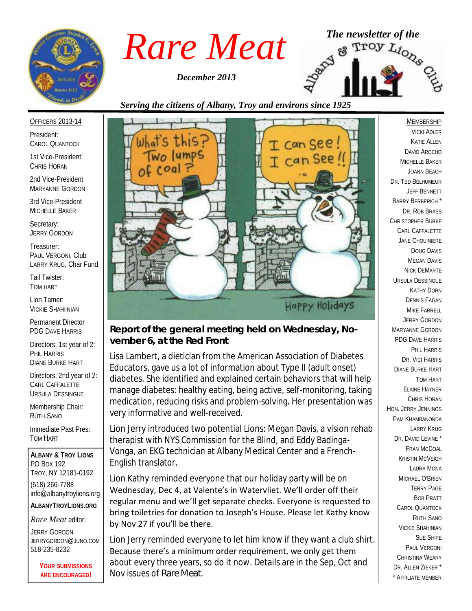

*December 2013*



## *Serving the citizens of Albany, Troy and environs since 1925*

OFFICERS 2013-14

President: CAROL QUANTOCK

1st Vice-President: CHRIS HORAN

2nd Vice-President MARYANNE GORDON

3rd Vice-President MICHELLE BAKER

Secretary: JERRY GORDON

Treasurer: PAUL VERGONI, Club LARRY KRUG, Char Fund

Tail Twister: TOM HART

Lion Tamer: VICKIE SHAHIINIAN

Permanent Director PDG DAVE HARRIS

Directors, 1st year of 2: PHIL HARRIS DIANE BURKE HART

Directors, 2nd year of 2: CARL CAFFALETTE URSULA DESSINGUE

Membership Chair: RUTH SANO

Immediate Past Pres: TOM HART

**ALBANY & TROY LIONS** PO BOX 192 TROY, NY 12181-0192 (518) 266-7788 info@albanytroylions.org **ALBANYTROYLIONS.ORG**

*Rare Meat* editor:

JERRY GORDON JERRYGORDON@JUNO.COM 518-235-8232

> **YOUR SUBMISSIONS ARE ENCOURAGED!**



*Report of the general meeting held on Wednesday, November 6, at the Red Front* 

Lisa Lambert, a dietician from the American Association of Diabetes Educators, gave us a lot of information about Type II (adult onset) diabetes. She identified and explained certain behaviors that will help manage diabetes: healthy eating, being active, self-monitoring, taking medication, reducing risks and problem-solving. Her presentation was very informative and well-received.

Lion Jerry introduced two potential Lions: Megan Davis, a vision rehab therapist with NYS Commission for the Blind, and Eddy Badinga-Vonga, an EKG technician at Albany Medical Center and a French-English translator.

Lion Kathy reminded everyone that our holiday party will be on Wednesday, Dec 4, at Valente's in Watervliet. We'll order off their regular menu and we'll get separate checks. Everyone is requested to bring toiletries for donation to Joseph's House. Please let Kathy know by Nov 27 if you'll be there.

Lion Jerry reminded everyone to let him know if they want a club shirt. Because there's a minimum order requirement, we only get them about every three years, so do it now. Details are in the Sep, Oct and Nov issues of *Rare Meat*.

MEMBERSHIP VICKI ADLER KATIE ALLEN DAVID AROCHO MICHELLE BAKER JOANN BEACH DR. TED BELHUMEUR JEFF BENNETT BARRY BERBERICH \* DR. ROB BRASS CHRISTOPHER BURKE CARL CAFFALETTE JANE CHOUINIERE DOUG DAVIS MEGAN DAVIS NICK DEMARTE URSULA DESSINGUE KATHY DORN DENNIS FAGAN MIKE FARRELL JERRY GORDON MARYANNE GORDON PDG DAVE HARRIS PHIL HARRIS DR. VICI HARRIS DIANE BURKE HART TOM HART ELAINE HAYNER CHRIS HORAN HON. JERRY JENNINGS PAM KHAMBANONDA LARRY KRUG DR. DAVID LEVINE \* FRAN MCDOAL KRISTIN MCVEIGH LAURA MONA MICHAEL O'BRIEN TERRY PAGE BOB PRATT CAROL QUANTOCK RUTH SANO VICKIE SHAHINIAN SUE SHIPE PAUL VERGONI CHRISTINA WEARY DR. ALLEN ZIEKER \* \* AFFILIATE MEMBER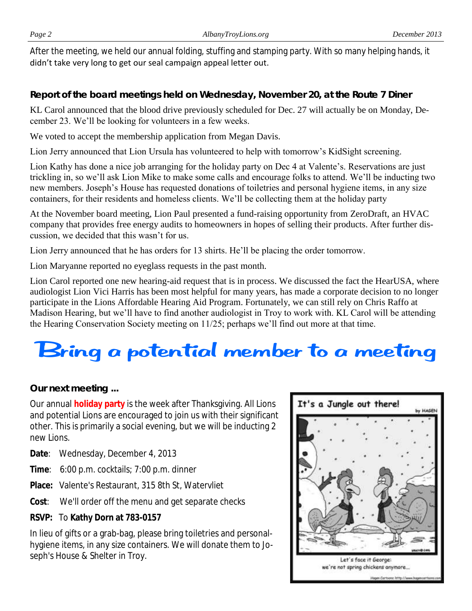After the meeting, we held our annual folding, stuffing and stamping party. With so many helping hands, it didn't take very long to get our seal campaign appeal letter out.

*Report of the board meetings held on Wednesday, November 20, at the Route 7 Diner* 

KL Carol announced that the blood drive previously scheduled for Dec. 27 will actually be on Monday, December 23. We'll be looking for volunteers in a few weeks.

We voted to accept the membership application from Megan Davis.

Lion Jerry announced that Lion Ursula has volunteered to help with tomorrow's KidSight screening.

Lion Kathy has done a nice job arranging for the holiday party on Dec 4 at Valente's. Reservations are just trickling in, so we'll ask Lion Mike to make some calls and encourage folks to attend. We'll be inducting two new members. Joseph's House has requested donations of toiletries and personal hygiene items, in any size containers, for their residents and homeless clients. We'll be collecting them at the holiday party

At the November board meeting, Lion Paul presented a fund-raising opportunity from ZeroDraft, an HVAC company that provides free energy audits to homeowners in hopes of selling their products. After further discussion, we decided that this wasn't for us.

Lion Jerry announced that he has orders for 13 shirts. He'll be placing the order tomorrow.

Lion Maryanne reported no eyeglass requests in the past month.

Lion Carol reported one new hearing-aid request that is in process. We discussed the fact the HearUSA, where audiologist Lion Vici Harris has been most helpful for many years, has made a corporate decision to no longer participate in the Lions Affordable Hearing Aid Program. Fortunately, we can still rely on Chris Raffo at Madison Hearing, but we'll have to find another audiologist in Troy to work with. KL Carol will be attending the Hearing Conservation Society meeting on 11/25; perhaps we'll find out more at that time.

# Bring a potential member to a meeting

*Our next meeting ...*

Our annual **holiday party** is the week after Thanksgiving. All Lions and potential Lions are encouraged to join us with their significant other. This is primarily a social evening, but we will be inducting 2 new Lions.

**Date**: Wednesday, December 4, 2013

- **Time**: 6:00 p.m. cocktails; 7:00 p.m. dinner
- **Place:** Valente's Restaurant, 315 8th St, Watervliet
- **Cost**: We'll order off the menu and get separate checks
- **RSVP:** To **Kathy Dorn at 783-0157**

In lieu of gifts or a grab-bag, please bring toiletries and personalhygiene items, in any size containers. We will donate them to Joseph's House & Shelter in Troy.

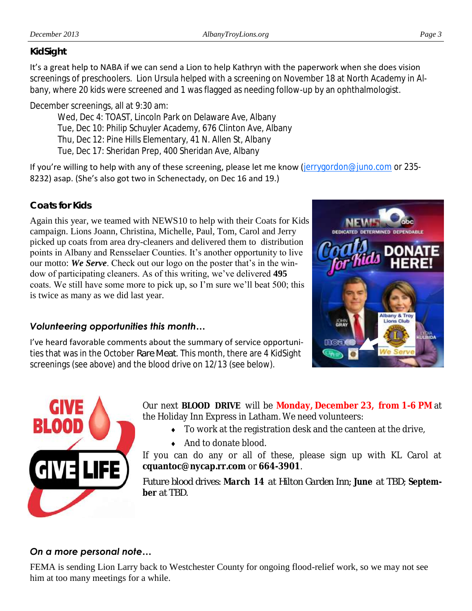#### *KidSight*

It's a great help to NABA if we can send a Lion to help Kathryn with the paperwork when she does vision screenings of preschoolers. Lion Ursula helped with a screening on November 18 at North Academy in Albany, where 20 kids were screened and 1 was flagged as needing follow-up by an ophthalmologist.

December screenings, all at 9:30 am:

Wed, Dec 4: TOAST, Lincoln Park on Delaware Ave, Albany

Tue, Dec 10: Philip Schuyler Academy, 676 Clinton Ave, Albany

Thu, Dec 12: Pine Hills Elementary, 41 N. Allen St, Albany

Tue, Dec 17: Sheridan Prep, 400 Sheridan Ave, Albany

If you're willing to help with any of these screening, please let me know ([jerrygordon@juno.com](mailto:jerrygordon@juno.com) or 235-8232) asap. (She's also got two in Schenectady, on Dec 16 and 19.)

### *Coats for Kids*

Again this year, we teamed with NEWS10 to help with their Coats for Kids campaign. Lions Joann, Christina, Michelle, Paul, Tom, Carol and Jerry picked up coats from area dry-cleaners and delivered them to distribution points in Albany and Rensselaer Counties. It's another opportunity to live our motto: *We Serve*. Check out our logo on the poster that's in the window of participating cleaners. As of this writing, we've delivered **495** coats. We still have some more to pick up, so I'm sure we'll beat 500; this is twice as many as we did last year.

### *Volunteering opportunities this month…*

I've heard favorable comments about the summary of service opportunities that was in the October *Rare Meat*. This month, there are 4 KidSight screenings (see above) and the blood drive on 12/13 (see below).





Our next **BLOOD DRIVE** will be **Monday, December 23, from 1-6 PM** at the Holiday Inn Express in Latham. We need volunteers:

- To work at the registration desk and the canteen at the drive,
- ◆ And to donate blood.

If you can do any or all of these, please sign up with KL Carol at **cquantoc@nycap.rr.com** or **664-3901**.

*Future blood drives: March 14 at Hilton Garden Inn; June at TBD; September at TBD.*

### *On a more personal note…*

FEMA is sending Lion Larry back to Westchester County for ongoing flood-relief work, so we may not see him at too many meetings for a while.